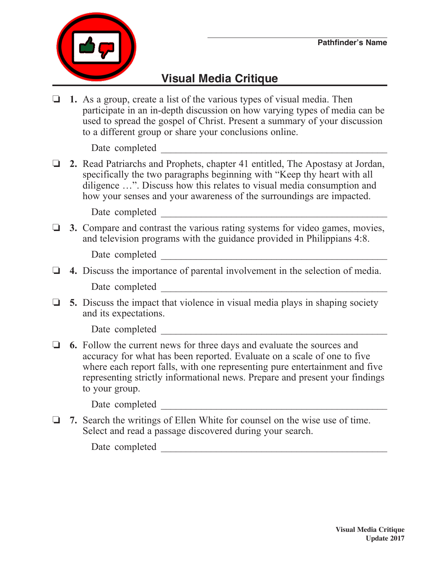

## **Visual Media Critique**

 $\Box$  **1.** As a group, create a list of the various types of visual media. Then participate in an in-depth discussion on how varying types of media can be used to spread the gospel of Christ. Present a summary of your discussion to a different group or share your conclusions online.

Date completed

o **2.** Read Patriarchs and Prophets, chapter 41 entitled, The Apostasy at Jordan, specifically the two paragraphs beginning with "Keep thy heart with all diligence …". Discuss how this relates to visual media consumption and how your senses and your awareness of the surroundings are impacted.

Date completed  $\qquad \qquad \qquad$ 

**3.** Compare and contrast the various rating systems for video games, movies, and television programs with the guidance provided in Philippians 4:8.

Date completed

- o **4.** Discuss the importance of parental involvement in the selection of media. Date completed \_\_\_\_\_\_\_\_\_\_\_\_\_\_\_\_\_\_\_\_\_\_\_\_\_\_\_\_\_\_\_\_\_\_\_\_\_\_\_\_\_\_\_\_\_
- □ 5. Discuss the impact that violence in visual media plays in shaping society and its expectations.

Date completed  $\Box$ 

**6.** Follow the current news for three days and evaluate the sources and accuracy for what has been reported. Evaluate on a scale of one to five where each report falls, with one representing pure entertainment and five representing strictly informational news. Prepare and present your findings to your group.

Date completed \_\_\_\_\_\_\_\_\_\_\_\_\_\_\_\_\_\_\_\_\_\_\_\_\_\_\_\_\_\_\_\_\_\_\_\_\_\_\_\_\_\_\_\_\_

o **7.** Search the writings of Ellen White for counsel on the wise use of time. Select and read a passage discovered during your search.

Date completed \_\_\_\_\_\_\_\_\_\_\_\_\_\_\_\_\_\_\_\_\_\_\_\_\_\_\_\_\_\_\_\_\_\_\_\_\_\_\_\_\_\_\_\_\_